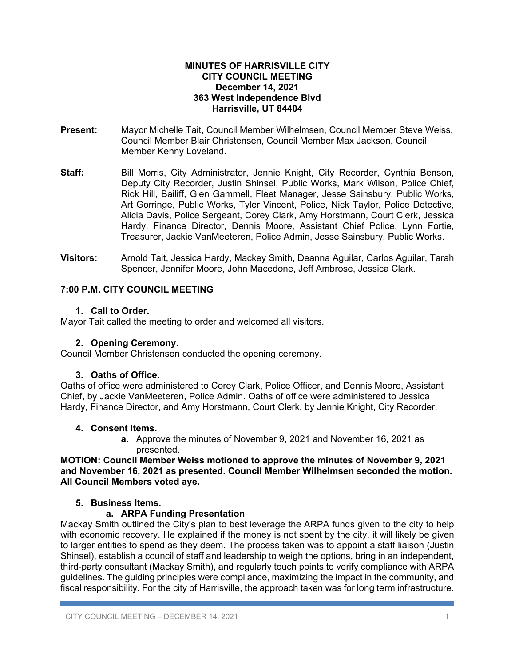#### **MINUTES OF HARRISVILLE CITY CITY COUNCIL MEETING December 14, 2021 363 West Independence Blvd Harrisville, UT 84404**

- **Present:** Mayor Michelle Tait, Council Member Wilhelmsen, Council Member Steve Weiss, Council Member Blair Christensen, Council Member Max Jackson, Council Member Kenny Loveland.
- **Staff:** Bill Morris, City Administrator, Jennie Knight, City Recorder, Cynthia Benson, Deputy City Recorder, Justin Shinsel, Public Works, Mark Wilson, Police Chief, Rick Hill, Bailiff, Glen Gammell, Fleet Manager, Jesse Sainsbury, Public Works, Art Gorringe, Public Works, Tyler Vincent, Police, Nick Taylor, Police Detective, Alicia Davis, Police Sergeant, Corey Clark, Amy Horstmann, Court Clerk, Jessica Hardy, Finance Director, Dennis Moore, Assistant Chief Police, Lynn Fortie, Treasurer, Jackie VanMeeteren, Police Admin, Jesse Sainsbury, Public Works.
- **Visitors:** Arnold Tait, Jessica Hardy, Mackey Smith, Deanna Aguilar, Carlos Aguilar, Tarah Spencer, Jennifer Moore, John Macedone, Jeff Ambrose, Jessica Clark.

## **7:00 P.M. CITY COUNCIL MEETING**

### **1. Call to Order.**

Mayor Tait called the meeting to order and welcomed all visitors.

### **2. Opening Ceremony.**

Council Member Christensen conducted the opening ceremony.

### **3. Oaths of Office.**

Oaths of office were administered to Corey Clark, Police Officer, and Dennis Moore, Assistant Chief, by Jackie VanMeeteren, Police Admin. Oaths of office were administered to Jessica Hardy, Finance Director, and Amy Horstmann, Court Clerk, by Jennie Knight, City Recorder.

#### **4. Consent Items.**

**a.** Approve the minutes of November 9, 2021 and November 16, 2021 as presented.

**MOTION: Council Member Weiss motioned to approve the minutes of November 9, 2021 and November 16, 2021 as presented. Council Member Wilhelmsen seconded the motion. All Council Members voted aye.** 

### **5. Business Items.**

### **a. ARPA Funding Presentation**

Mackay Smith outlined the City's plan to best leverage the ARPA funds given to the city to help with economic recovery. He explained if the money is not spent by the city, it will likely be given to larger entities to spend as they deem. The process taken was to appoint a staff liaison (Justin Shinsel), establish a council of staff and leadership to weigh the options, bring in an independent, third-party consultant (Mackay Smith), and regularly touch points to verify compliance with ARPA guidelines. The guiding principles were compliance, maximizing the impact in the community, and fiscal responsibility. For the city of Harrisville, the approach taken was for long term infrastructure.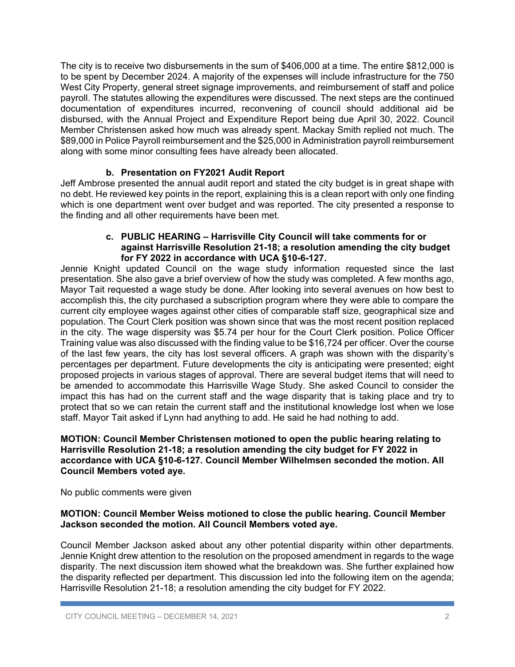The city is to receive two disbursements in the sum of \$406,000 at a time. The entire \$812,000 is to be spent by December 2024. A majority of the expenses will include infrastructure for the 750 West City Property, general street signage improvements, and reimbursement of staff and police payroll. The statutes allowing the expenditures were discussed. The next steps are the continued documentation of expenditures incurred, reconvening of council should additional aid be disbursed, with the Annual Project and Expenditure Report being due April 30, 2022. Council Member Christensen asked how much was already spent. Mackay Smith replied not much. The \$89,000 in Police Payroll reimbursement and the \$25,000 in Administration payroll reimbursement along with some minor consulting fees have already been allocated.

# **b. Presentation on FY2021 Audit Report**

Jeff Ambrose presented the annual audit report and stated the city budget is in great shape with no debt. He reviewed key points in the report, explaining this is a clean report with only one finding which is one department went over budget and was reported. The city presented a response to the finding and all other requirements have been met.

#### **c. PUBLIC HEARING – Harrisville City Council will take comments for or against Harrisville Resolution 21-18; a resolution amending the city budget for FY 2022 in accordance with UCA §10-6-127.**

Jennie Knight updated Council on the wage study information requested since the last presentation. She also gave a brief overview of how the study was completed. A few months ago, Mayor Tait requested a wage study be done. After looking into several avenues on how best to accomplish this, the city purchased a subscription program where they were able to compare the current city employee wages against other cities of comparable staff size, geographical size and population. The Court Clerk position was shown since that was the most recent position replaced in the city. The wage dispersity was \$5.74 per hour for the Court Clerk position. Police Officer Training value was also discussed with the finding value to be \$16,724 per officer. Over the course of the last few years, the city has lost several officers. A graph was shown with the disparity's percentages per department. Future developments the city is anticipating were presented; eight proposed projects in various stages of approval. There are several budget items that will need to be amended to accommodate this Harrisville Wage Study. She asked Council to consider the impact this has had on the current staff and the wage disparity that is taking place and try to protect that so we can retain the current staff and the institutional knowledge lost when we lose staff. Mayor Tait asked if Lynn had anything to add. He said he had nothing to add.

### **MOTION: Council Member Christensen motioned to open the public hearing relating to Harrisville Resolution 21-18; a resolution amending the city budget for FY 2022 in accordance with UCA §10-6-127. Council Member Wilhelmsen seconded the motion. All Council Members voted aye.**

No public comments were given

### **MOTION: Council Member Weiss motioned to close the public hearing. Council Member Jackson seconded the motion. All Council Members voted aye.**

Council Member Jackson asked about any other potential disparity within other departments. Jennie Knight drew attention to the resolution on the proposed amendment in regards to the wage disparity. The next discussion item showed what the breakdown was. She further explained how the disparity reflected per department. This discussion led into the following item on the agenda; Harrisville Resolution 21-18; a resolution amending the city budget for FY 2022.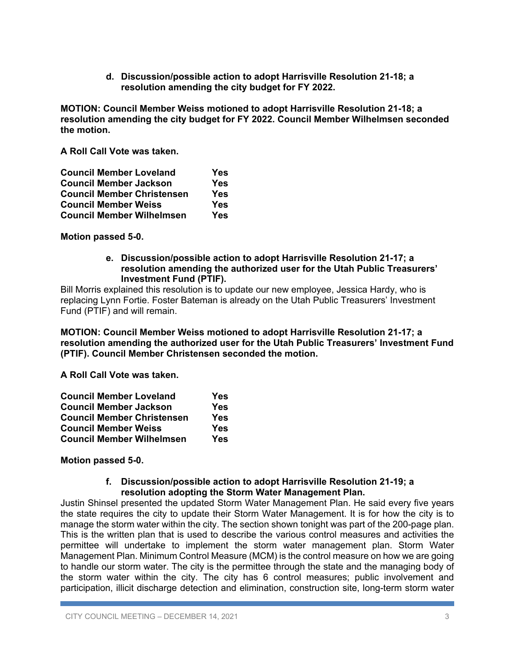**d. Discussion/possible action to adopt Harrisville Resolution 21-18; a resolution amending the city budget for FY 2022.** 

**MOTION: Council Member Weiss motioned to adopt Harrisville Resolution 21-18; a resolution amending the city budget for FY 2022. Council Member Wilhelmsen seconded the motion.** 

**A Roll Call Vote was taken.** 

| <b>Council Member Loveland</b>    | Yes |
|-----------------------------------|-----|
| <b>Council Member Jackson</b>     | Yes |
| <b>Council Member Christensen</b> | Yes |
| <b>Council Member Weiss</b>       | Yes |
| <b>Council Member Wilhelmsen</b>  | Yes |

### **Motion passed 5-0.**

#### **e. Discussion/possible action to adopt Harrisville Resolution 21-17; a resolution amending the authorized user for the Utah Public Treasurers' Investment Fund (PTIF).**

Bill Morris explained this resolution is to update our new employee, Jessica Hardy, who is replacing Lynn Fortie. Foster Bateman is already on the Utah Public Treasurers' Investment Fund (PTIF) and will remain.

**MOTION: Council Member Weiss motioned to adopt Harrisville Resolution 21-17; a resolution amending the authorized user for the Utah Public Treasurers' Investment Fund (PTIF). Council Member Christensen seconded the motion.** 

**A Roll Call Vote was taken.** 

| <b>Council Member Loveland</b>    | Yes |
|-----------------------------------|-----|
| <b>Council Member Jackson</b>     | Yes |
| <b>Council Member Christensen</b> | Yes |
| <b>Council Member Weiss</b>       | Yes |
| <b>Council Member Wilhelmsen</b>  | Yes |

### **Motion passed 5-0.**

#### **f. Discussion/possible action to adopt Harrisville Resolution 21-19; a resolution adopting the Storm Water Management Plan.**

Justin Shinsel presented the updated Storm Water Management Plan. He said every five years the state requires the city to update their Storm Water Management. It is for how the city is to manage the storm water within the city. The section shown tonight was part of the 200-page plan. This is the written plan that is used to describe the various control measures and activities the permittee will undertake to implement the storm water management plan. Storm Water Management Plan. Minimum Control Measure (MCM) is the control measure on how we are going to handle our storm water. The city is the permittee through the state and the managing body of the storm water within the city. The city has 6 control measures; public involvement and participation, illicit discharge detection and elimination, construction site, long-term storm water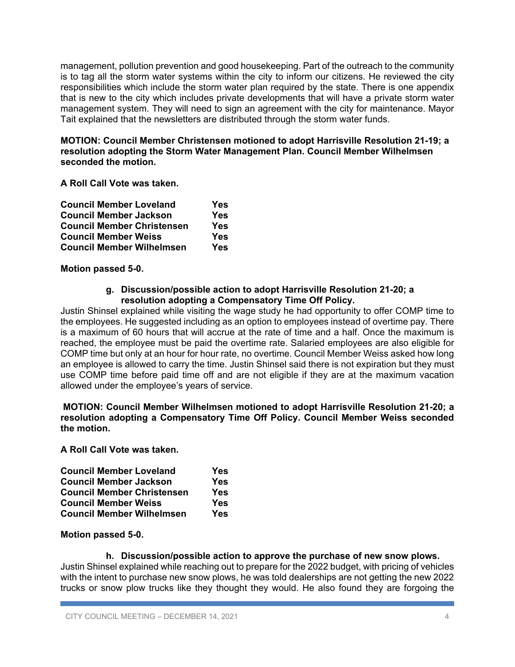management, pollution prevention and good housekeeping. Part of the outreach to the community is to tag all the storm water systems within the city to inform our citizens. He reviewed the city responsibilities which include the storm water plan required by the state. There is one appendix that is new to the city which includes private developments that will have a private storm water management system. They will need to sign an agreement with the city for maintenance. Mayor Tait explained that the newsletters are distributed through the storm water funds.

**MOTION: Council Member Christensen motioned to adopt Harrisville Resolution 21-19; a resolution adopting the Storm Water Management Plan. Council Member Wilhelmsen seconded the motion.** 

**A Roll Call Vote was taken.** 

| <b>Council Member Loveland</b>    | Yes |
|-----------------------------------|-----|
| <b>Council Member Jackson</b>     | Yes |
| <b>Council Member Christensen</b> | Yes |
| <b>Council Member Weiss</b>       | Yes |
| <b>Council Member Wilhelmsen</b>  | Yes |

### **Motion passed 5-0.**

### **g. Discussion/possible action to adopt Harrisville Resolution 21-20; a resolution adopting a Compensatory Time Off Policy.**

Justin Shinsel explained while visiting the wage study he had opportunity to offer COMP time to the employees. He suggested including as an option to employees instead of overtime pay. There is a maximum of 60 hours that will accrue at the rate of time and a half. Once the maximum is reached, the employee must be paid the overtime rate. Salaried employees are also eligible for COMP time but only at an hour for hour rate, no overtime. Council Member Weiss asked how long an employee is allowed to carry the time. Justin Shinsel said there is not expiration but they must use COMP time before paid time off and are not eligible if they are at the maximum vacation allowed under the employee's years of service.

**MOTION: Council Member Wilhelmsen motioned to adopt Harrisville Resolution 21-20; a resolution adopting a Compensatory Time Off Policy. Council Member Weiss seconded the motion.** 

**A Roll Call Vote was taken.** 

| <b>Council Member Loveland</b>    | Yes |
|-----------------------------------|-----|
| <b>Council Member Jackson</b>     | Yes |
| <b>Council Member Christensen</b> | Yes |
| <b>Council Member Weiss</b>       | Yes |
| <b>Council Member Wilhelmsen</b>  | Yes |

# **Motion passed 5-0.**

# **h. Discussion/possible action to approve the purchase of new snow plows.**

Justin Shinsel explained while reaching out to prepare for the 2022 budget, with pricing of vehicles with the intent to purchase new snow plows, he was told dealerships are not getting the new 2022 trucks or snow plow trucks like they thought they would. He also found they are forgoing the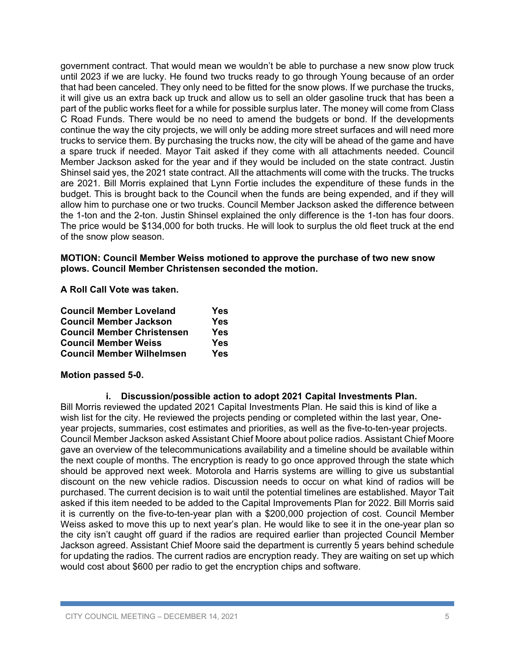government contract. That would mean we wouldn't be able to purchase a new snow plow truck until 2023 if we are lucky. He found two trucks ready to go through Young because of an order that had been canceled. They only need to be fitted for the snow plows. If we purchase the trucks, it will give us an extra back up truck and allow us to sell an older gasoline truck that has been a part of the public works fleet for a while for possible surplus later. The money will come from Class C Road Funds. There would be no need to amend the budgets or bond. If the developments continue the way the city projects, we will only be adding more street surfaces and will need more trucks to service them. By purchasing the trucks now, the city will be ahead of the game and have a spare truck if needed. Mayor Tait asked if they come with all attachments needed. Council Member Jackson asked for the year and if they would be included on the state contract. Justin Shinsel said yes, the 2021 state contract. All the attachments will come with the trucks. The trucks are 2021. Bill Morris explained that Lynn Fortie includes the expenditure of these funds in the budget. This is brought back to the Council when the funds are being expended, and if they will allow him to purchase one or two trucks. Council Member Jackson asked the difference between the 1-ton and the 2-ton. Justin Shinsel explained the only difference is the 1-ton has four doors. The price would be \$134,000 for both trucks. He will look to surplus the old fleet truck at the end of the snow plow season.

### **MOTION: Council Member Weiss motioned to approve the purchase of two new snow plows. Council Member Christensen seconded the motion.**

**A Roll Call Vote was taken.** 

| <b>Council Member Loveland</b>    | Yes |
|-----------------------------------|-----|
| <b>Council Member Jackson</b>     | Yes |
| <b>Council Member Christensen</b> | Yes |
| <b>Council Member Weiss</b>       | Yes |
| <b>Council Member Wilhelmsen</b>  | Yes |

### **Motion passed 5-0.**

### **i. Discussion/possible action to adopt 2021 Capital Investments Plan.**

Bill Morris reviewed the updated 2021 Capital Investments Plan. He said this is kind of like a wish list for the city. He reviewed the projects pending or completed within the last year, Oneyear projects, summaries, cost estimates and priorities, as well as the five-to-ten-year projects. Council Member Jackson asked Assistant Chief Moore about police radios. Assistant Chief Moore gave an overview of the telecommunications availability and a timeline should be available within the next couple of months. The encryption is ready to go once approved through the state which should be approved next week. Motorola and Harris systems are willing to give us substantial discount on the new vehicle radios. Discussion needs to occur on what kind of radios will be purchased. The current decision is to wait until the potential timelines are established. Mayor Tait asked if this item needed to be added to the Capital Improvements Plan for 2022. Bill Morris said it is currently on the five-to-ten-year plan with a \$200,000 projection of cost. Council Member Weiss asked to move this up to next year's plan. He would like to see it in the one-year plan so the city isn't caught off guard if the radios are required earlier than projected Council Member Jackson agreed. Assistant Chief Moore said the department is currently 5 years behind schedule for updating the radios. The current radios are encryption ready. They are waiting on set up which would cost about \$600 per radio to get the encryption chips and software.